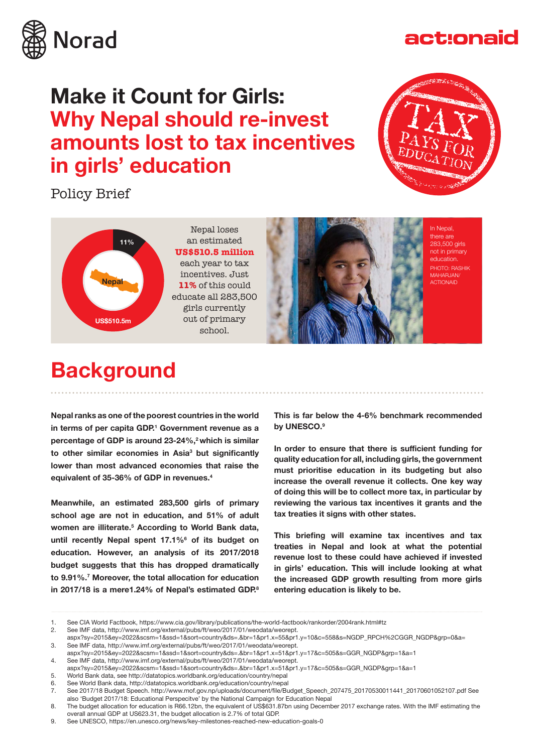

### act:onaid

### **Make it Count for Girls: Why Nepal should re-invest amounts lost to tax incentives in girls' education**

Policy Brief





Nepal loses an estimated **US\$510.5 million** each year to tax incentives. Just **11%** of this could educate all 283,500 girls currently out of primary school.



In Nepal, there are 283,500 girls not in primary education. PHOTO: RASHIK MAHARJAN/ ACTIONAID

### **Background**

**Nepal ranks as one of the poorest countries in the world in terms of per capita GDP.1 Government revenue as a**  percentage of GDP is around 23-24%,<sup>2</sup> which is similar **to other similar economies in Asia3 but signifcantly lower than most advanced economies that raise the equivalent of 35-36% of GDP in revenues.4**

**Meanwhile, an estimated 283,500 girls of primary school age are not in education, and 51% of adult**  women are illiterate.<sup>5</sup> According to World Bank data, until recently Nepal spent 17.1%<sup>6</sup> of its budget on **education. However, an analysis of its 2017/2018 budget suggests that this has dropped dramatically to 9.91%.7 Moreover, the total allocation for education in 2017/18 is a mere1.24% of Nepal's estimated GDP.8**

**This is far below the 4-6% benchmark recommended by UNESCO.9**

In order to ensure that there is sufficient funding for **quality education for all, including girls, the government must prioritise education in its budgeting but also increase the overall revenue it collects. One key way of doing this will be to collect more tax, in particular by reviewing the various tax incentives it grants and the tax treaties it signs with other states.** 

This briefing will examine tax incentives and tax **treaties in Nepal and look at what the potential revenue lost to these could have achieved if invested in girls' education. This will include looking at what the increased GDP growth resulting from more girls entering education is likely to be.**

<sup>1.</sup> See CIA World Factbook, https://www.cia.gov/library/publications/the-world-factbook/rankorder/2004rank.html#tz<br>2. See IMF data. http://www.imf.org/external/pubs/ft/weo/2017/01/weodata/weorept.

See IMF data, http://www.imf.org/external/pubs/ft/weo/2017/01/weodata/weorept.

aspx?sy=2015&ey=2022&scsm=1&ssd=1&sort=country&ds=.&br=1&pr1.x=55&pr1.y=10&c=558&s=NGDP\_RPCH%2CGGR\_NGDP&grp=0&a= 3. See IMF data, http://www.imf.org/external/pubs/ft/weo/2017/01/weodata/weorept.

aspx?sy=2015&ey=2022&scsm=1&ssd=1&sort=country&ds=.&br=1&pr1.x=51&pr1.y=17&c=505&s=GGR\_NGDP&grp=1&a=1

<sup>4.</sup> See IMF data, http://www.imf.org/external/pubs/ft/weo/2017/01/weodata/weorept. aspx?sy=2015&ey=2022&scsm=1&ssd=1&sort=country&ds=.&br=1&pr1.x=51&pr1.y=17&c=505&s=GGR\_NGDP&grp=1&a=1

<sup>5.</sup> World Bank data, see http://datatopics.worldbank.org/education/country/nepal

<sup>6.</sup> See World Bank data, http://datatopics.worldbank.org/education/country/nepal

<sup>7.</sup> See 2017/18 Budget Speech. http://www.mof.gov.np/uploads/document/fle/Budget\_Speech\_207475\_20170530011441\_20170601052107.pdf See also 'Budget 2017/18: Educational Perspecitve' by the National Campaign for Education Nepal

<sup>8.</sup> The budget allocation for education is R66.12bn, the equivalent of US\$631.87bn using December 2017 exchange rates. With the IMF estimating the overall annual GDP at US623.31, the budget allocation is 2.7% of total GDP.

<sup>9.</sup> See UNESCO, https://en.unesco.org/news/key-milestones-reached-new-education-goals-0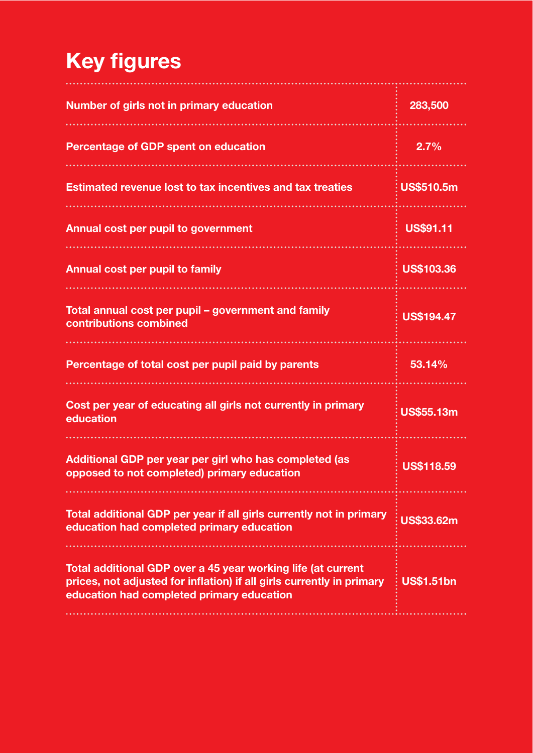# **Key figures**

| Number of girls not in primary education                                                                                                                                           | 283,500           |
|------------------------------------------------------------------------------------------------------------------------------------------------------------------------------------|-------------------|
| <b>Percentage of GDP spent on education</b>                                                                                                                                        | 2.7%              |
| <b>Estimated revenue lost to tax incentives and tax treaties</b>                                                                                                                   | <b>US\$510.5m</b> |
| <b>Annual cost per pupil to government</b>                                                                                                                                         | <b>US\$91.11</b>  |
| <b>Annual cost per pupil to family</b>                                                                                                                                             | <b>US\$103.36</b> |
| Total annual cost per pupil - government and family<br>contributions combined                                                                                                      | <b>US\$194.47</b> |
| Percentage of total cost per pupil paid by parents                                                                                                                                 | 53.14%            |
| Cost per year of educating all girls not currently in primary<br>education                                                                                                         | <b>US\$55.13m</b> |
| Additional GDP per year per girl who has completed (as<br>opposed to not completed) primary education                                                                              | <b>US\$118.59</b> |
| Total additional GDP per year if all girls currently not in primary<br>education had completed primary education                                                                   | <b>US\$33.62m</b> |
| Total additional GDP over a 45 year working life (at current<br>prices, not adjusted for inflation) if all girls currently in primary<br>education had completed primary education | <b>US\$1.51bn</b> |
|                                                                                                                                                                                    |                   |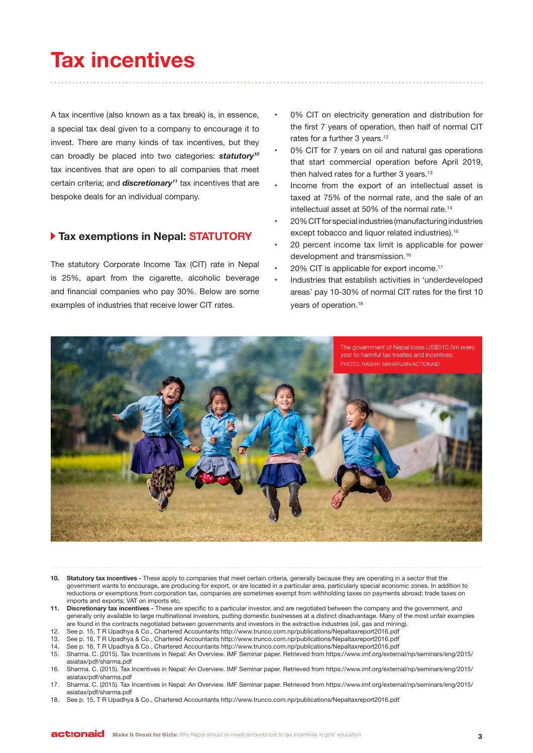# **Tax incentives**

A tax incentive (also known as a tax break) is, in essence, a special tax deal given to a company to encourage it to invest. There are many kinds of tax incentives, but they can broadly be placed into two categories: *statutory10* tax incentives that are open to all companies that meet certain criteria; and *discretionary11* tax incentives that are bespoke deals for an individual company.

#### **Tax exemptions in Nepal: STATUTORY**

The statutory Corporate Income Tax (CIT) rate in Nepal is 25%, apart from the cigarette, alcoholic beverage and financial companies who pay 30%. Below are some examples of industries that receive lower CIT rates.

- 0% CIT on electricity generation and distribution for the first 7 years of operation, then half of normal CIT rates for a further 3 years.<sup>12</sup>
- 0% CIT for 7 years on oil and natural gas operations that start commercial operation before April 2019, then halved rates for a further 3 years.<sup>13</sup>
- Income from the export of an intellectual asset is taxed at 75% of the normal rate, and the sale of an intellectual asset at 50% of the normal rate.14
- 20% CIT for special industries (manufacturing industries except tobacco and liquor related industries).<sup>15</sup>
- 20 percent income tax limit is applicable for power development and transmission.16
- 20% CIT is applicable for export income.<sup>17</sup>
- Industries that establish activities in 'underdeveloped areas' pay 10-30% of normal CIT rates for the first 10 years of operation.18



- **10. Statutory tax incentives -** These apply to companies that meet certain criteria, generally because they are operating in a sector that the government wants to encourage, are producing for export, or are located in a particular area, particularly special economic zones. In addition to reductions or exemptions from corporation tax, companies are sometimes exempt from withholding taxes on payments abroad; trade taxes on imports and exports; VAT on imports etc.
- **11. Discretionary tax incentives -** These are specifc to a particular investor, and are negotiated between the company and the government, and generally only available to large multinational investors, putting domestic businesses at a distinct disadvantage. Many of the most unfair examples are found in the contracts negotiated between governments and investors in the extractive industries (oil, gas and mining).
- 12. See p. 15, T R Upadhya & Co., Chartered Accountants http://www.trunco.com.np/publications/Nepaltaxreport2016.pdf
- 13. See p. 16, T R Upadhya & Co., Chartered Accountants http://www.trunco.com.np/publications/Nepaltaxreport2016.pdf
- 14. See p. 16, T R Upadhya & Co., Chartered Accountants http://www.trunco.com.np/publications/Nepaltaxreport2016.pdf
- 15. Sharma. C. (2015). Tax Incentives in Nepal: An Overview. IMF Seminar paper. Retrieved from https://www.imf.org/external/np/seminars/eng/2015/ asiatax/pdf/sharma.pdf
- 16. Sharma. C. (2015). Tax Incentives in Nepal: An Overview. IMF Seminar paper. Retrieved from https://www.imf.org/external/np/seminars/eng/2015/ asiatax/pdf/sharma.pdf
- 17. Sharma. C. (2015). Tax Incentives in Nepal: An Overview. IMF Seminar paper. Retrieved from https://www.imf.org/external/np/seminars/eng/2015/ asiatax/pdf/sharma.pdf
- 18. See p. 15, T R Upadhya & Co., Chartered Accountants http://www.trunco.com.np/publications/Nepaltaxreport2016.pdf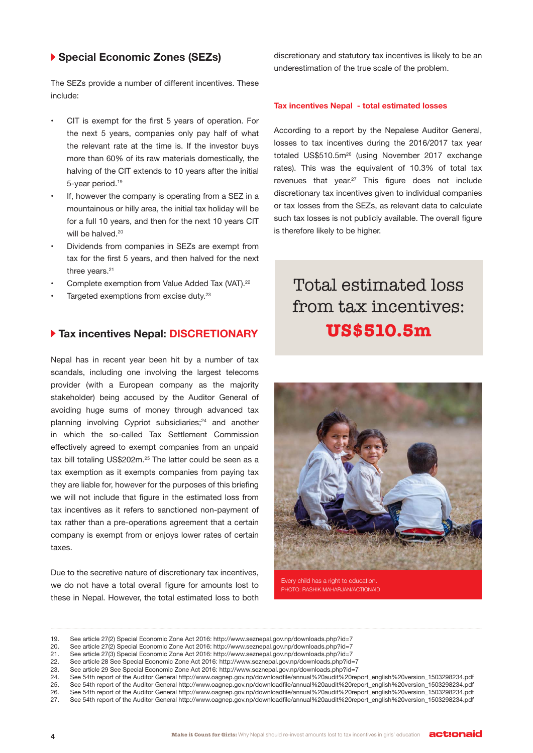#### **Special Economic Zones (SEZs)**

The SEZs provide a number of diferent incentives. These include:

- CIT is exempt for the first 5 years of operation. For the next 5 years, companies only pay half of what the relevant rate at the time is. If the investor buys more than 60% of its raw materials domestically, the halving of the CIT extends to 10 years after the initial 5-year period.19
- If, however the company is operating from a SEZ in a mountainous or hilly area, the initial tax holiday will be for a full 10 years, and then for the next 10 years CIT will be halved.<sup>20</sup>
- Dividends from companies in SEZs are exempt from tax for the first 5 years, and then halved for the next three years.<sup>21</sup>
- Complete exemption from Value Added Tax (VAT).<sup>22</sup>
- Targeted exemptions from excise duty.<sup>23</sup>

#### **Tax incentives Nepal: DISCRETIONARY**

Nepal has in recent year been hit by a number of tax scandals, including one involving the largest telecoms provider (with a European company as the majority stakeholder) being accused by the Auditor General of avoiding huge sums of money through advanced tax planning involving Cypriot subsidiaries;<sup>24</sup> and another in which the so-called Tax Settlement Commission efectively agreed to exempt companies from an unpaid tax bill totaling US\$202m.<sup>25</sup> The latter could be seen as a tax exemption as it exempts companies from paying tax they are liable for, however for the purposes of this briefing we will not include that fgure in the estimated loss from tax incentives as it refers to sanctioned non-payment of tax rather than a pre-operations agreement that a certain company is exempt from or enjoys lower rates of certain taxes.

Due to the secretive nature of discretionary tax incentives, we do not have a total overall figure for amounts lost to these in Nepal. However, the total estimated loss to both discretionary and statutory tax incentives is likely to be an underestimation of the true scale of the problem.

#### **Tax incentives Nepal - total estimated losses**

According to a report by the Nepalese Auditor General, losses to tax incentives during the 2016/2017 tax year totaled US\$510.5m26 (using November 2017 exchange rates). This was the equivalent of 10.3% of total tax revenues that year.<sup>27</sup> This figure does not include discretionary tax incentives given to individual companies or tax losses from the SEZs, as relevant data to calculate such tax losses is not publicly available. The overall figure is therefore likely to be higher.

### Total estimated loss from tax incentives: **US\$510.5m**



Every child has a right to education. PHOTO: RASHIK MAHARJAN/ACTIONAID

22. See article 28 See Special Economic Zone Act 2016: http://www.seznepal.gov.np/downloads.php?id=7<br>23. See article 29 See Special Economic Zone Act 2016: http://www.seznepal.gov.np/downloads.php?id=7

<sup>19.</sup> See article 27(2) Special Economic Zone Act 2016: http://www.seznepal.gov.np/downloads.php?id=7

<sup>20.</sup> See article 27(2) Special Economic Zone Act 2016: http://www.seznepal.gov.np/downloads.php?id=7<br>21. See article 27(3) Special Economic Zone Act 2016: http://www.seznepal.gov.np/downloads.php?id=7

See article 27(3) Special Economic Zone Act 2016: http://www.seznepal.gov.np/downloads.php?id=7

See article 29 See Special Economic Zone Act 2016: http://www.seznepal.gov.np/downloads.php?id=7

<sup>24.</sup> See 54th report of the Auditor General http://www.oagnep.gov.np/downloadfle/annual%20audit%20report\_english%20version\_1503298234.pdf

<sup>25.</sup> See 54th report of the Auditor General http://www.oagnep.gov.np/downloadfle/annual%20audit%20report\_english%20version\_1503298234.pdf 26. See 54th report of the Auditor General http://www.oagnep.gov.np/downloadfle/annual%20audit%20report\_english%20version\_1503298234.pdf

<sup>27.</sup> See 54th report of the Auditor General http://www.oagnep.gov.np/downloadfle/annual%20audit%20report\_english%20version\_1503298234.pdf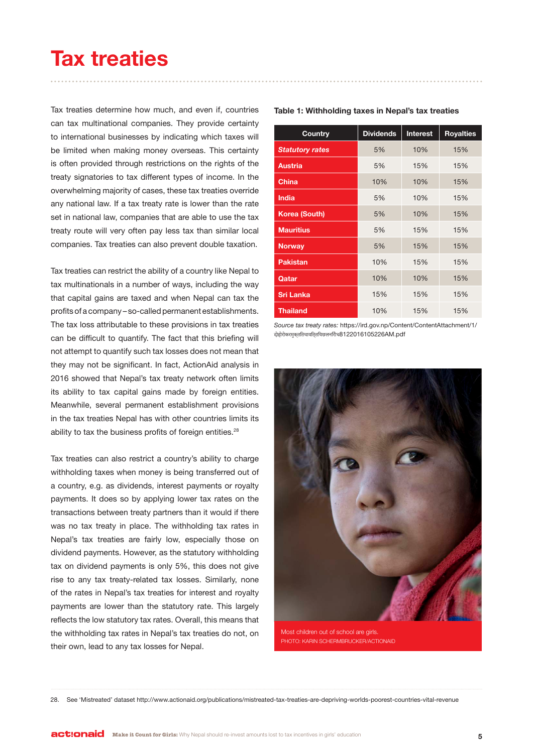## **Tax treaties**

Tax treaties determine how much, and even if, countries can tax multinational companies. They provide certainty to international businesses by indicating which taxes will be limited when making money overseas. This certainty is often provided through restrictions on the rights of the treaty signatories to tax diferent types of income. In the overwhelming majority of cases, these tax treaties override any national law. If a tax treaty rate is lower than the rate set in national law, companies that are able to use the tax treaty route will very often pay less tax than similar local companies. Tax treaties can also prevent double taxation.

Tax treaties can restrict the ability of a country like Nepal to tax multinationals in a number of ways, including the way that capital gains are taxed and when Nepal can tax the profits of a company – so-called permanent establishments. The tax loss attributable to these provisions in tax treaties can be difficult to quantify. The fact that this briefing will not attempt to quantify such tax losses does not mean that they may not be significant. In fact, ActionAid analysis in 2016 showed that Nepal's tax treaty network often limits its ability to tax capital gains made by foreign entities. Meanwhile, several permanent establishment provisions in the tax treaties Nepal has with other countries limits its ability to tax the business profits of foreign entities.<sup>28</sup>

Tax treaties can also restrict a country's ability to charge withholding taxes when money is being transferred out of a country, e.g. as dividends, interest payments or royalty payments. It does so by applying lower tax rates on the transactions between treaty partners than it would if there was no tax treaty in place. The withholding tax rates in Nepal's tax treaties are fairly low, especially those on dividend payments. However, as the statutory withholding tax on dividend payments is only 5%, this does not give rise to any tax treaty-related tax losses. Similarly, none of the rates in Nepal's tax treaties for interest and royalty payments are lower than the statutory rate. This largely reflects the low statutory tax rates. Overall, this means that the withholding tax rates in Nepal's tax treaties do not, on their own, lead to any tax losses for Nepal.

| <b>Country</b>         | <b>Dividends</b> | <b>Interest</b> | <b>Royalties</b> |
|------------------------|------------------|-----------------|------------------|
| <b>Statutory rates</b> | 5%               | 10%             | 15%              |
| <b>Austria</b>         | 5%               | 15%             | 15%              |
| <b>China</b>           | 10%              | 10%             | 15%              |
| <b>India</b>           | 5%               | 10%             | 15%              |
| <b>Korea (South)</b>   | 5%               | 10%             | 15%              |
| <b>Mauritius</b>       | 5%               | 15%             | 15%              |
| <b>Norway</b>          | 5%               | 15%             | 15%              |
| <b>Pakistan</b>        | 10%              | 15%             | 15%              |
| Qatar                  | 10%              | 10%             | 15%              |
| <b>Sri Lanka</b>       | 15%              | 15%             | 15%              |
| <b>Thailand</b>        | 10%              | 15%             | 15%              |

**Table 1: Withholding taxes in Nepal's tax treaties**

*Source tax treaty rates:* https://ird.gov.np/Content/ContentAttachment/1/ दाेहाेराेकरमुक्तितथावित्तियछलनिराेध8122016105226AM.pdf



Most children out of school are girls. PHOTO: KARIN SCHERMBRUCKER/ACTIONAID

28. See 'Mistreated' dataset http://www.actionaid.org/publications/mistreated-tax-treaties-are-depriving-worlds-poorest-countries-vital-revenue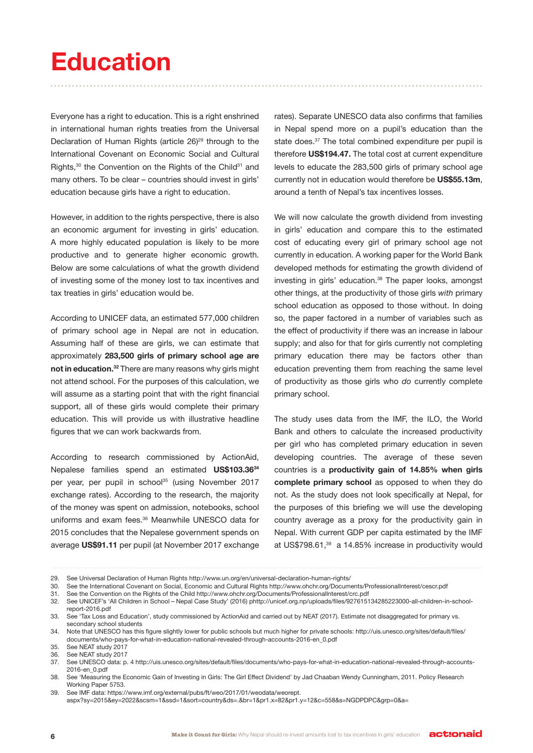# **Education**

Everyone has a right to education. This is a right enshrined in international human rights treaties from the Universal Declaration of Human Rights (article 26)<sup>29</sup> through to the International Covenant on Economic Social and Cultural Rights,<sup>30</sup> the Convention on the Rights of the Child<sup>31</sup> and many others. To be clear – countries should invest in girls' education because girls have a right to education.

However, in addition to the rights perspective, there is also an economic argument for investing in girls' education. A more highly educated population is likely to be more productive and to generate higher economic growth. Below are some calculations of what the growth dividend of investing some of the money lost to tax incentives and tax treaties in girls' education would be.

According to UNICEF data, an estimated 577,000 children of primary school age in Nepal are not in education. Assuming half of these are girls, we can estimate that approximately **283,500 girls of primary school age are not in education.32** There are many reasons why girls might not attend school. For the purposes of this calculation, we will assume as a starting point that with the right financial support, all of these girls would complete their primary education. This will provide us with illustrative headline figures that we can work backwards from.

According to research commissioned by ActionAid, Nepalese families spend an estimated **US\$103.3634**  per year, per pupil in school<sup>35</sup> (using November 2017 exchange rates). According to the research, the majority of the money was spent on admission, notebooks, school uniforms and exam fees.<sup>36</sup> Meanwhile UNESCO data for 2015 concludes that the Nepalese government spends on average **US\$91.11** per pupil (at November 2017 exchange

rates). Separate UNESCO data also confirms that families in Nepal spend more on a pupil's education than the state does.<sup>37</sup> The total combined expenditure per pupil is therefore **US\$194.47.** The total cost at current expenditure levels to educate the 283,500 girls of primary school age currently not in education would therefore be **US\$55.13m**, around a tenth of Nepal's tax incentives losses.

We will now calculate the growth dividend from investing in girls' education and compare this to the estimated cost of educating every girl of primary school age not currently in education. A working paper for the World Bank developed methods for estimating the growth dividend of investing in girls' education.<sup>38</sup> The paper looks, amongst other things, at the productivity of those girls *with* primary school education as opposed to those without. In doing so, the paper factored in a number of variables such as the effect of productivity if there was an increase in labour supply; and also for that for girls currently not completing primary education there may be factors other than education preventing them from reaching the same level of productivity as those girls who *do* currently complete primary school.

The study uses data from the IMF, the ILO, the World Bank and others to calculate the increased productivity per girl who has completed primary education in seven developing countries. The average of these seven countries is a **productivity gain of 14.85% when girls complete primary school** as opposed to when they do not. As the study does not look specifcally at Nepal, for the purposes of this briefng we will use the developing country average as a proxy for the productivity gain in Nepal. With current GDP per capita estimated by the IMF at US\$798.61,39 a 14.85% increase in productivity would

<sup>29.</sup> See Universal Declaration of Human Rights http://www.un.org/en/universal-declaration-human-rights/

<sup>30.</sup> See the International Covenant on Social, Economic and Cultural Rights http://www.ohchr.org/Documents/ProfessionalInterest/cescr.pdf

<sup>31.</sup> See the Convention on the Rights of the Child http://www.ohchr.org/Documents/ProfessionalInterest/crc.pdf

<sup>32.</sup> See UNICEF's 'All Children in School – Nepal Case Study' (2016) phttp://unicef.org.np/uploads/fles/927615134285223000-all-children-in-schoolreport-2016.pdf

<sup>33.</sup> See 'Tax Loss and Education', study commissioned by ActionAid and carried out by NEAT (2017). Estimate not disaggregated for primary vs. secondary school students

<sup>34.</sup> Note that UNESCO has this fgure slightly lower for public schools but much higher for private schools: http://uis.unesco.org/sites/default/fles/ documents/who-pays-for-what-in-education-national-revealed-through-accounts-2016-en\_0.pdf

<sup>35.</sup> See NEAT study 2017

<sup>36.</sup> See NEAT study 2017

<sup>37.</sup> See UNESCO data: p. 4 http://uis.unesco.org/sites/default/fles/documents/who-pays-for-what-in-education-national-revealed-through-accounts-2016-en\_0.pdf

<sup>38.</sup> See 'Measuring the Economic Gain of Investing in Girls: The Girl Efect Dividend' by Jad Chaaban Wendy Cunningham, 2011. Policy Research Working Paper 5753.

<sup>39.</sup> See IMF data: https://www.imf.org/external/pubs/ft/weo/2017/01/weodata/weorept. aspx?sy=2015&ey=2022&scsm=1&ssd=1&sort=country&ds=.&br=1&pr1.x=82&pr1.y=12&c=558&s=NGDPDPC&grp=0&a=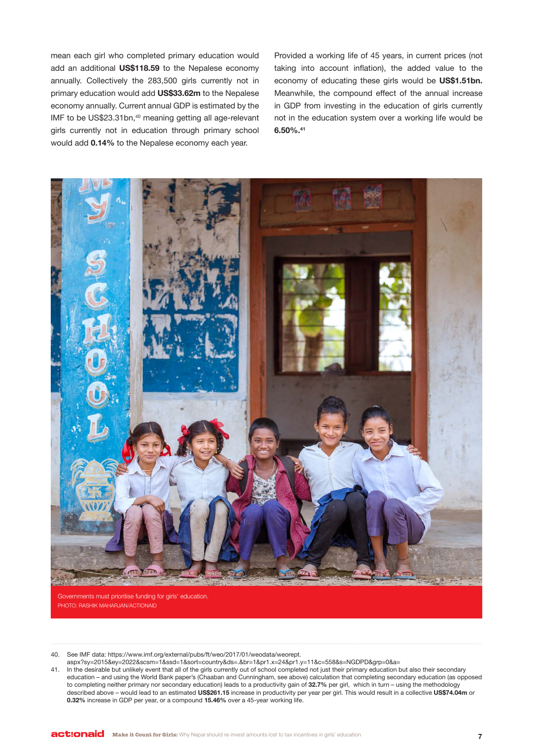mean each girl who completed primary education would add an additional **US\$118.59** to the Nepalese economy annually. Collectively the 283,500 girls currently not in primary education would add **US\$33.62m** to the Nepalese economy annually. Current annual GDP is estimated by the IMF to be US\$23.31bn,<sup>40</sup> meaning getting all age-relevant girls currently not in education through primary school would add **0.14%** to the Nepalese economy each year.

Provided a working life of 45 years, in current prices (not taking into account infation), the added value to the economy of educating these girls would be **US\$1.51bn.**  Meanwhile, the compound efect of the annual increase in GDP from investing in the education of girls currently not in the education system over a working life would be **6.50%.41**



Governments must prioritise funding for girls' education. PHOTO: RASHIK MAHARJAN/ACTIONAID

40. See IMF data: https://www.imf.org/external/pubs/ft/weo/2017/01/weodata/weorept.

aspx?sy=2015&ey=2022&scsm=1&ssd=1&sort=country&ds=.&br=1&pr1.x=24&pr1.y=11&c=558&s=NGDPD&grp=0&a=

41. In the desirable but unlikely event that all of the girls currently out of school completed not just their primary education but also their secondary education – and using the World Bank paper's (Chaaban and Cunningham, see above) calculation that completing secondary education (as opposed to completing neither primary nor secondary education) leads to a productivity gain of **32.7%** per girl, which in turn – using the methodology described above – would lead to an estimated **US\$261.15** increase in productivity per year per girl. This would result in a collective **US\$74.04m** or **0.32%** increase in GDP per year, or a compound **15.46%** over a 45-year working life.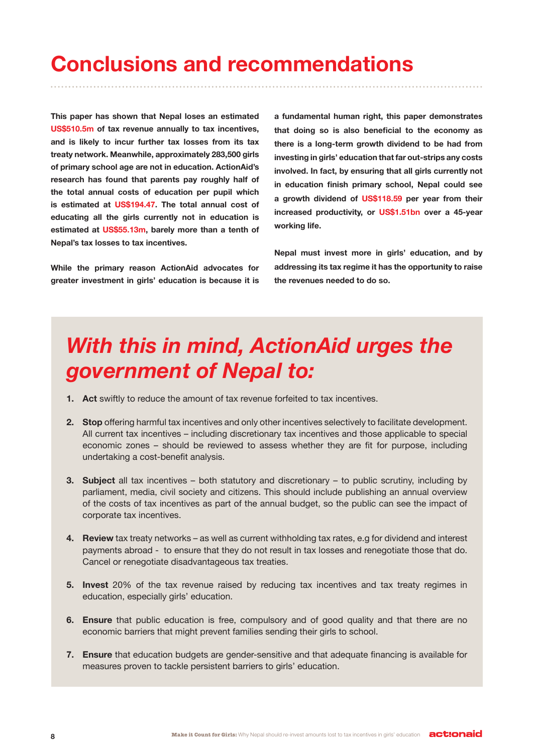# **Conclusions and recommendations**

**This paper has shown that Nepal loses an estimated US\$510.5m of tax revenue annually to tax incentives, and is likely to incur further tax losses from its tax treaty network. Meanwhile, approximately 283,500 girls of primary school age are not in education. ActionAid's research has found that parents pay roughly half of the total annual costs of education per pupil which is estimated at US\$194.47. The total annual cost of educating all the girls currently not in education is estimated at US\$55.13m, barely more than a tenth of Nepal's tax losses to tax incentives.** 

**While the primary reason ActionAid advocates for greater investment in girls' education is because it is**  **a fundamental human right, this paper demonstrates that doing so is also benefcial to the economy as there is a long-term growth dividend to be had from investing in girls' education that far out-strips any costs involved. In fact, by ensuring that all girls currently not in education fnish primary school, Nepal could see a growth dividend of US\$118.59 per year from their increased productivity, or US\$1.51bn over a 45-year working life.** 

**Nepal must invest more in girls' education, and by addressing its tax regime it has the opportunity to raise the revenues needed to do so.**

# *With this in mind, ActionAid urges the government of Nepal to:*

- **1. Act** swiftly to reduce the amount of tax revenue forfeited to tax incentives.
- **2. Stop** ofering harmful tax incentives and only other incentives selectively to facilitate development. All current tax incentives – including discretionary tax incentives and those applicable to special economic zones – should be reviewed to assess whether they are fit for purpose, including undertaking a cost-benefit analysis.
- **3. Subject** all tax incentives both statutory and discretionary to public scrutiny, including by parliament, media, civil society and citizens. This should include publishing an annual overview of the costs of tax incentives as part of the annual budget, so the public can see the impact of corporate tax incentives.
- **4. Review** tax treaty networks as well as current withholding tax rates, e.g for dividend and interest payments abroad - to ensure that they do not result in tax losses and renegotiate those that do. Cancel or renegotiate disadvantageous tax treaties.
- **5. Invest** 20% of the tax revenue raised by reducing tax incentives and tax treaty regimes in education, especially girls' education.
- **6. Ensure** that public education is free, compulsory and of good quality and that there are no economic barriers that might prevent families sending their girls to school.
- **7. Ensure** that education budgets are gender-sensitive and that adequate fnancing is available for measures proven to tackle persistent barriers to girls' education.